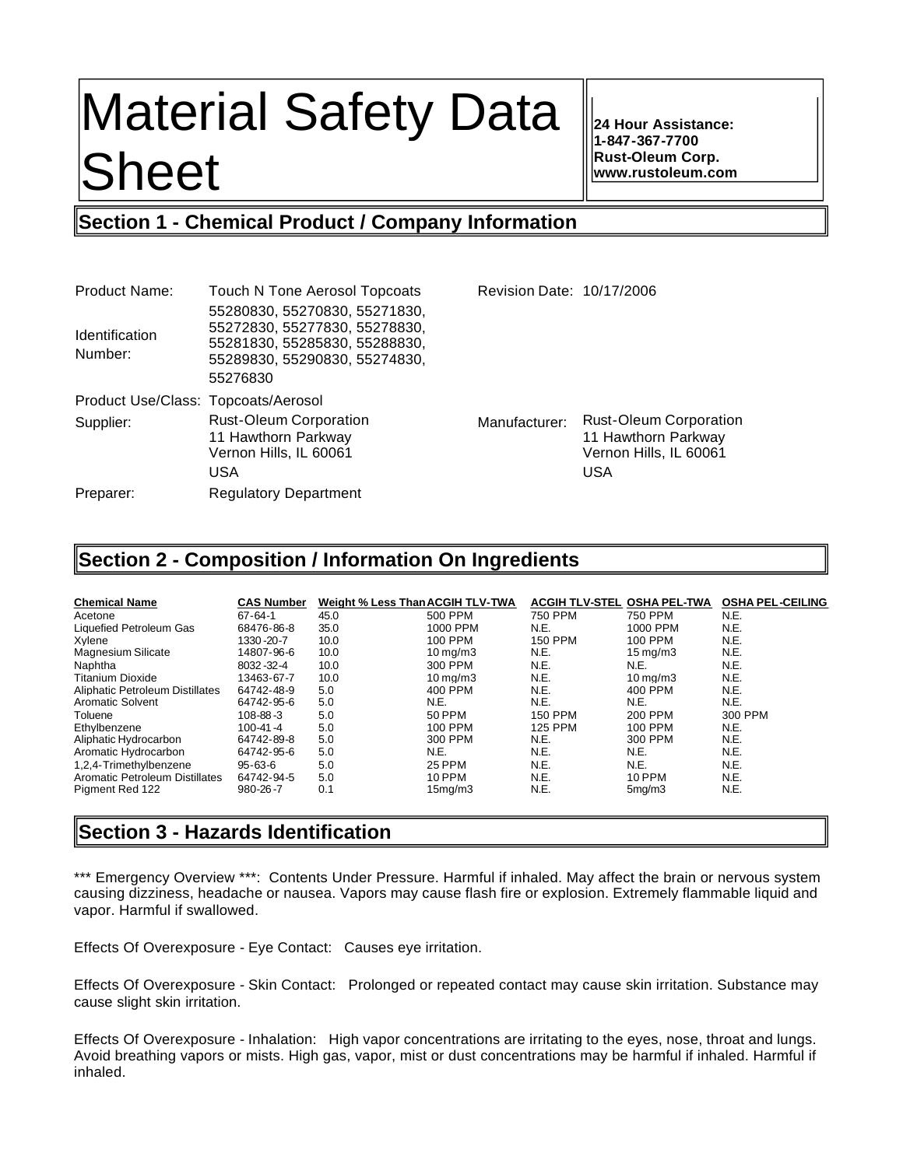# Material Safety Data **Sheet**

**24 Hour Assistance: 1-847-367-7700 Rust-Oleum Corp. www.rustoleum.com**

# **Section 1 - Chemical Product / Company Information**

| <b>Product Name:</b>                | <b>Touch N Tone Aerosol Topcoats</b>                                                                                                         | Revision Date: 10/17/2006 |                                                                                       |
|-------------------------------------|----------------------------------------------------------------------------------------------------------------------------------------------|---------------------------|---------------------------------------------------------------------------------------|
| <b>Identification</b><br>Number:    | 55280830, 55270830, 55271830,<br>55272830, 55277830, 55278830,<br>55281830, 55285830, 55288830,<br>55289830, 55290830, 55274830,<br>55276830 |                           |                                                                                       |
| Product Use/Class: Topcoats/Aerosol |                                                                                                                                              |                           |                                                                                       |
| Supplier:                           | <b>Rust-Oleum Corporation</b><br>11 Hawthorn Parkway<br>Vernon Hills, IL 60061<br>USA                                                        | Manufacturer:             | <b>Rust-Oleum Corporation</b><br>11 Hawthorn Parkway<br>Vernon Hills, IL 60061<br>USA |
| Preparer:                           | <b>Regulatory Department</b>                                                                                                                 |                           |                                                                                       |

# **Section 2 - Composition / Information On Ingredients**

| <b>Chemical Name</b>            | <b>CAS Number</b> | Weight % Less Than ACGIH TLV-TWA |                      | ACGIH TLV-STEL OSHA PEL-TWA |                      | <b>OSHA PEL-CEILING</b> |
|---------------------------------|-------------------|----------------------------------|----------------------|-----------------------------|----------------------|-------------------------|
| Acetone                         | $67 - 64 - 1$     | 45.0                             | 500 PPM              | <b>750 PPM</b>              | 750 PPM              | N.E.                    |
| Liquefied Petroleum Gas         | 68476-86-8        | 35.0                             | 1000 PPM             | N.E.                        | 1000 PPM             | N.E.                    |
| Xvlene                          | 1330-20-7         | 10.0                             | 100 PPM              | <b>150 PPM</b>              | 100 PPM              | N.E.                    |
| <b>Magnesium Silicate</b>       | 14807-96-6        | 10.0                             | $10 \,\mathrm{mq/m}$ | N.E.                        | $15 \,\mathrm{mq/m}$ | N.E.                    |
| Naphtha                         | 8032-32-4         | 10.0                             | 300 PPM              | N.E.                        | N.E.                 | N.E.                    |
| <b>Titanium Dioxide</b>         | 13463-67-7        | 10.0                             | $10 \text{ ma/m}$ 3  | N.E.                        | $10 \,\mathrm{ma/m}$ | N.E.                    |
| Aliphatic Petroleum Distillates | 64742-48-9        | 5.0                              | 400 PPM              | N.E.                        | 400 PPM              | N.E.                    |
| <b>Aromatic Solvent</b>         | 64742-95-6        | 5.0                              | N.E.                 | N.E.                        | N.E.                 | N.E.                    |
| Toluene                         | $108 - 88 - 3$    | 5.0                              | 50 PPM               | <b>150 PPM</b>              | 200 PPM              | 300 PPM                 |
| Ethylbenzene                    | $100 - 41 - 4$    | 5.0                              | 100 PPM              | <b>125 PPM</b>              | 100 PPM              | N.E.                    |
| Aliphatic Hydrocarbon           | 64742-89-8        | 5.0                              | 300 PPM              | N.E.                        | 300 PPM              | N.E.                    |
| Aromatic Hydrocarbon            | 64742-95-6        | 5.0                              | N.E.                 | N.E.                        | N.E.                 | N.E.                    |
| 1.2.4-Trimethylbenzene          | $95 - 63 - 6$     | 5.0                              | <b>25 PPM</b>        | N.E.                        | N.E.                 | N.E.                    |
| Aromatic Petroleum Distillates  | 64742-94-5        | 5.0                              | <b>10 PPM</b>        | N.E.                        | 10 PPM               | N.E.                    |
| Pigment Red 122                 | $980 - 26 - 7$    | 0.1                              | 15 <sub>ma</sub> /m3 | N.E.                        | 5 <sub>ma</sub> /m3  | N.E.                    |

# **Section 3 - Hazards Identification**

\*\*\* Emergency Overview \*\*\*: Contents Under Pressure. Harmful if inhaled. May affect the brain or nervous system causing dizziness, headache or nausea. Vapors may cause flash fire or explosion. Extremely flammable liquid and vapor. Harmful if swallowed.

Effects Of Overexposure - Eye Contact: Causes eye irritation.

Effects Of Overexposure - Skin Contact: Prolonged or repeated contact may cause skin irritation. Substance may cause slight skin irritation.

Effects Of Overexposure - Inhalation: High vapor concentrations are irritating to the eyes, nose, throat and lungs. Avoid breathing vapors or mists. High gas, vapor, mist or dust concentrations may be harmful if inhaled. Harmful if inhaled.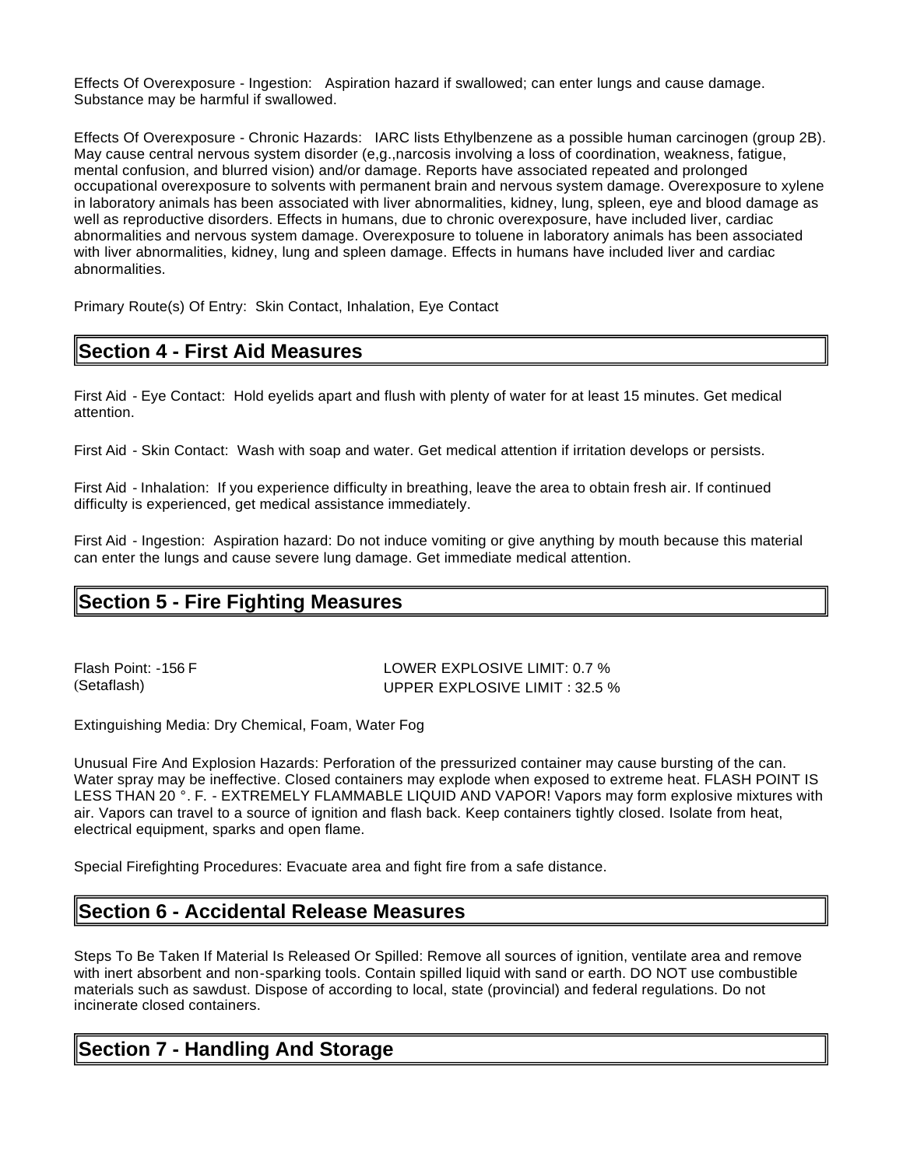Effects Of Overexposure - Ingestion: Aspiration hazard if swallowed; can enter lungs and cause damage. Substance may be harmful if swallowed.

Effects Of Overexposure - Chronic Hazards: IARC lists Ethylbenzene as a possible human carcinogen (group 2B). May cause central nervous system disorder (e,g.,narcosis involving a loss of coordination, weakness, fatigue, mental confusion, and blurred vision) and/or damage. Reports have associated repeated and prolonged occupational overexposure to solvents with permanent brain and nervous system damage. Overexposure to xylene in laboratory animals has been associated with liver abnormalities, kidney, lung, spleen, eye and blood damage as well as reproductive disorders. Effects in humans, due to chronic overexposure, have included liver, cardiac abnormalities and nervous system damage. Overexposure to toluene in laboratory animals has been associated with liver abnormalities, kidney, lung and spleen damage. Effects in humans have included liver and cardiac abnormalities.

Primary Route(s) Of Entry: Skin Contact, Inhalation, Eye Contact

# **Section 4 - First Aid Measures**

First Aid - Eye Contact: Hold eyelids apart and flush with plenty of water for at least 15 minutes. Get medical attention.

First Aid - Skin Contact: Wash with soap and water. Get medical attention if irritation develops or persists.

First Aid - Inhalation: If you experience difficulty in breathing, leave the area to obtain fresh air. If continued difficulty is experienced, get medical assistance immediately.

First Aid - Ingestion: Aspiration hazard: Do not induce vomiting or give anything by mouth because this material can enter the lungs and cause severe lung damage. Get immediate medical attention.

# **Section 5 - Fire Fighting Measures**

Flash Point: -156 F LOWER EXPLOSIVE LIMIT: 0.7 % (Setaflash) UPPER EXPLOSIVE LIMIT : 32.5 %

Extinguishing Media: Dry Chemical, Foam, Water Fog

Unusual Fire And Explosion Hazards: Perforation of the pressurized container may cause bursting of the can. Water spray may be ineffective. Closed containers may explode when exposed to extreme heat. FLASH POINT IS LESS THAN 20 °. F. - EXTREMELY FLAMMABLE LIQUID AND VAPOR! Vapors may form explosive mixtures with air. Vapors can travel to a source of ignition and flash back. Keep containers tightly closed. Isolate from heat, electrical equipment, sparks and open flame.

Special Firefighting Procedures: Evacuate area and fight fire from a safe distance.

# **Section 6 - Accidental Release Measures**

Steps To Be Taken If Material Is Released Or Spilled: Remove all sources of ignition, ventilate area and remove with inert absorbent and non-sparking tools. Contain spilled liquid with sand or earth. DO NOT use combustible materials such as sawdust. Dispose of according to local, state (provincial) and federal regulations. Do not incinerate closed containers.

# **Section 7 - Handling And Storage**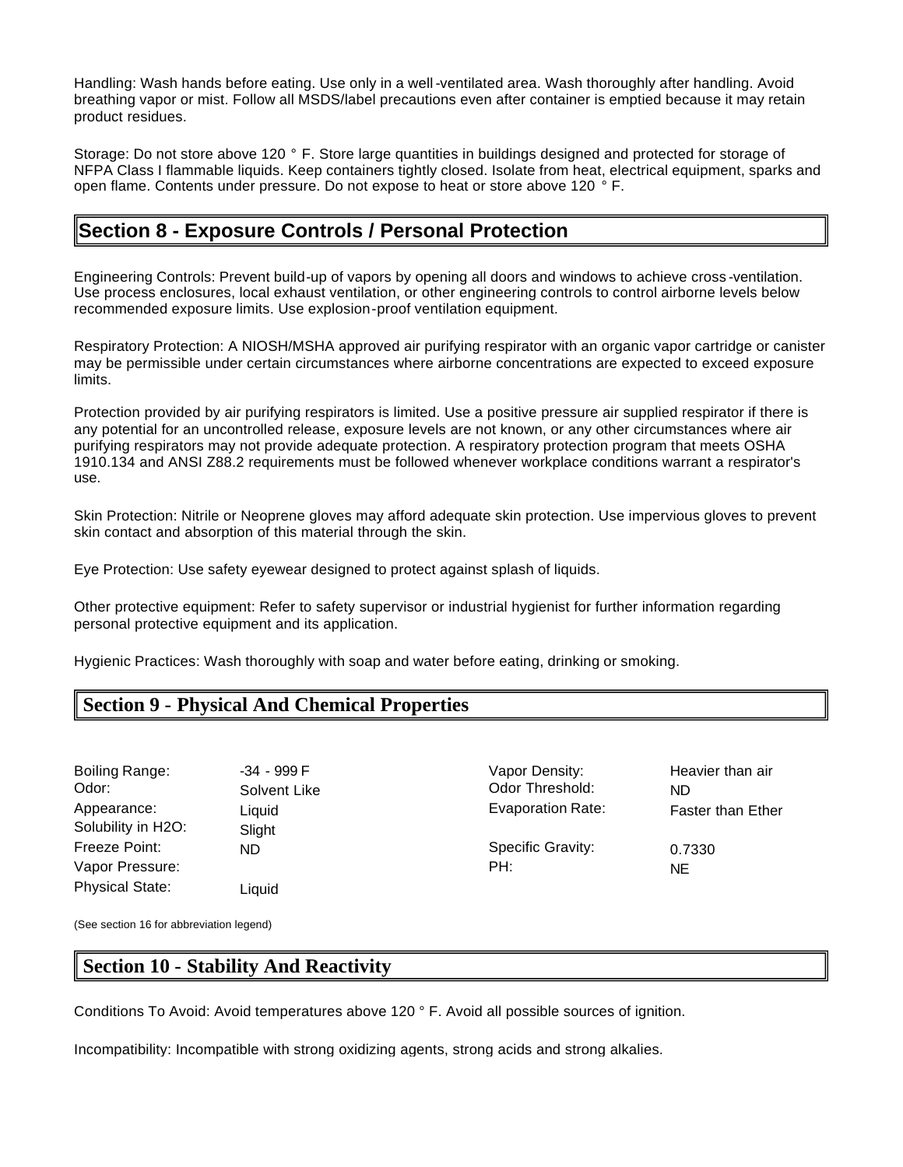Handling: Wash hands before eating. Use only in a well -ventilated area. Wash thoroughly after handling. Avoid breathing vapor or mist. Follow all MSDS/label precautions even after container is emptied because it may retain product residues.

Storage: Do not store above 120 ° F. Store large quantities in buildings designed and protected for storage of NFPA Class I flammable liquids. Keep containers tightly closed. Isolate from heat, electrical equipment, sparks and open flame. Contents under pressure. Do not expose to heat or store above 120 ° F.

# **Section 8 - Exposure Controls / Personal Protection**

Engineering Controls: Prevent build-up of vapors by opening all doors and windows to achieve cross -ventilation. Use process enclosures, local exhaust ventilation, or other engineering controls to control airborne levels below recommended exposure limits. Use explosion-proof ventilation equipment.

Respiratory Protection: A NIOSH/MSHA approved air purifying respirator with an organic vapor cartridge or canister may be permissible under certain circumstances where airborne concentrations are expected to exceed exposure limits.

Protection provided by air purifying respirators is limited. Use a positive pressure air supplied respirator if there is any potential for an uncontrolled release, exposure levels are not known, or any other circumstances where air purifying respirators may not provide adequate protection. A respiratory protection program that meets OSHA 1910.134 and ANSI Z88.2 requirements must be followed whenever workplace conditions warrant a respirator's use.

Skin Protection: Nitrile or Neoprene gloves may afford adequate skin protection. Use impervious gloves to prevent skin contact and absorption of this material through the skin.

Eye Protection: Use safety eyewear designed to protect against splash of liquids.

Other protective equipment: Refer to safety supervisor or industrial hygienist for further information regarding personal protective equipment and its application.

Hygienic Practices: Wash thoroughly with soap and water before eating, drinking or smoking.

## **Section 9 - Physical And Chemical Properties**

Boiling Range: 434 - 999 F And Theory Capor Density: The Heavier than air Odor: Solvent Like Codor Threshold: ND Solubility in H2O: Slight Freeze Point: ND ND Specific Gravity: 0.7330 Vapor Pressure: Network and the extent of the extent of the PH: NET AND NET AND NET AND NET AND NET A RESERVE A SECTION AND NET AND NET AND NET AND NET AND NET AND NET AND NET AND NET AND NET AND NET AND NET AND NET AND NE Physical State: Liquid

Appearance: Liquid Liquid Evaporation Rate: Faster than Ether

(See section 16 for abbreviation legend)

## **Section 10 - Stability And Reactivity**

Conditions To Avoid: Avoid temperatures above 120 ° F. Avoid all possible sources of ignition.

Incompatibility: Incompatible with strong oxidizing agents, strong acids and strong alkalies.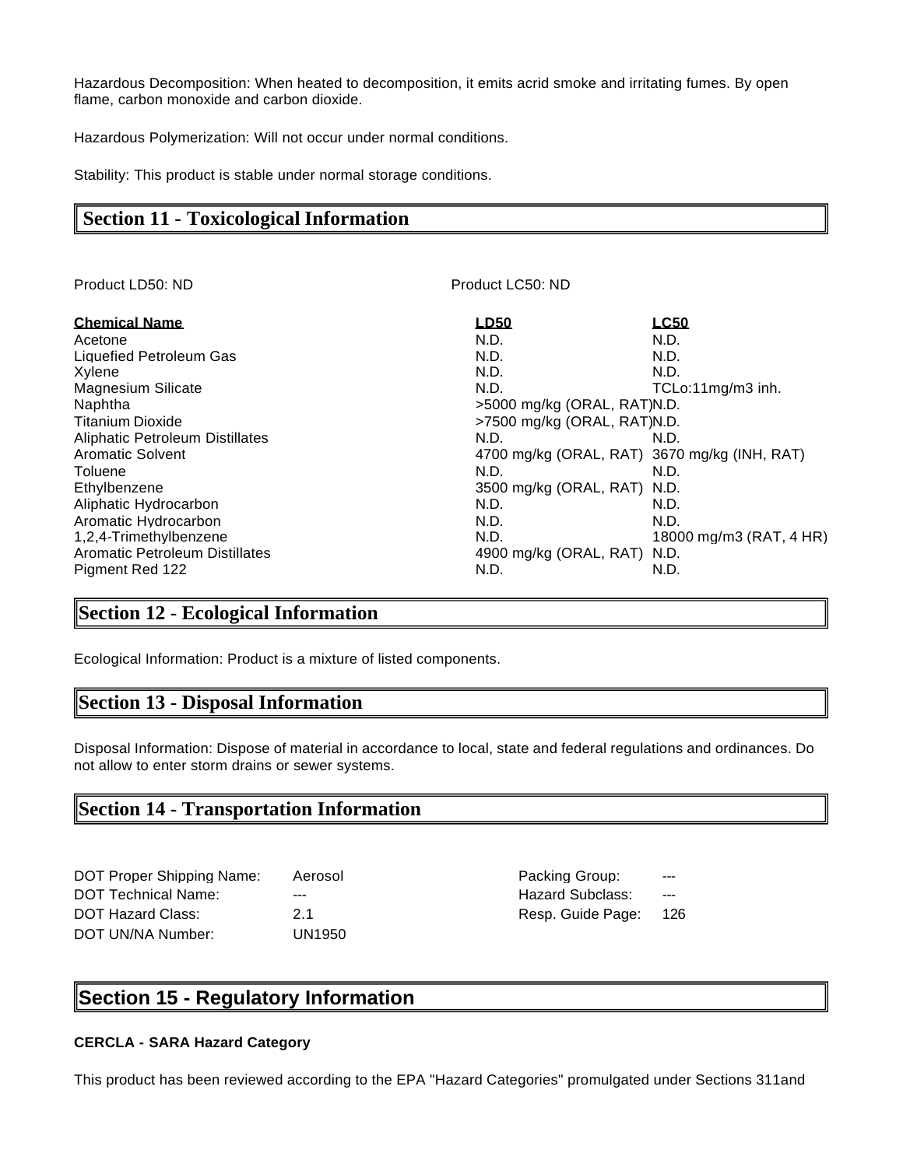Hazardous Decomposition: When heated to decomposition, it emits acrid smoke and irritating fumes. By open flame, carbon monoxide and carbon dioxide.

Hazardous Polymerization: Will not occur under normal conditions.

Stability: This product is stable under normal storage conditions.

## **Section 11 - Toxicological Information**

| Product LD50: ND                      | Product LC50: ND                             |                         |
|---------------------------------------|----------------------------------------------|-------------------------|
| <b>Chemical Name</b>                  | LD50                                         | <b>LC50</b>             |
| Acetone                               | N.D.                                         | N.D.                    |
| Liquefied Petroleum Gas               | N.D.                                         | N.D.                    |
| Xylene                                | N.D.                                         | N.D.                    |
| Magnesium Silicate                    | N.D.                                         | TCLo:11mg/m3 inh.       |
| Naphtha                               | >5000 mg/kg (ORAL, RAT)N.D.                  |                         |
| <b>Titanium Dioxide</b>               | $>7500$ mg/kg (ORAL, RAT)N.D.                |                         |
| Aliphatic Petroleum Distillates       | N.D.                                         | N.D.                    |
| <b>Aromatic Solvent</b>               | 4700 mg/kg (ORAL, RAT) 3670 mg/kg (INH, RAT) |                         |
| Toluene                               | N.D.                                         | N.D.                    |
| Ethylbenzene                          | 3500 mg/kg (ORAL, RAT) N.D.                  |                         |
| Aliphatic Hydrocarbon                 | N.D.                                         | N.D.                    |
| Aromatic Hydrocarbon                  | N.D.                                         | N.D.                    |
| 1,2,4-Trimethylbenzene                | N.D.                                         | 18000 mg/m3 (RAT, 4 HR) |
| <b>Aromatic Petroleum Distillates</b> | 4900 mg/kg (ORAL, RAT) N.D.                  |                         |
| Pigment Red 122                       | N.D.                                         | N.D.                    |

## **Section 12 - Ecological Information**

Ecological Information: Product is a mixture of listed components.

## **Section 13 - Disposal Information**

Disposal Information: Dispose of material in accordance to local, state and federal regulations and ordinances. Do not allow to enter storm drains or sewer systems.

## **Section 14 - Transportation Information**

| <b>DOT Proper Shipping Name:</b> | Aerosol |
|----------------------------------|---------|
| <b>DOT Technical Name:</b>       |         |
| DOT Hazard Class:                | 21      |
| DOT UN/NA Number:                | UN1950  |

اه Packing Group: Hazard Subclass: ---Resp. Guide Page: 126

# **Section 15 - Regulatory Information**

#### **CERCLA - SARA Hazard Category**

This product has been reviewed according to the EPA "Hazard Categories" promulgated under Sections 311and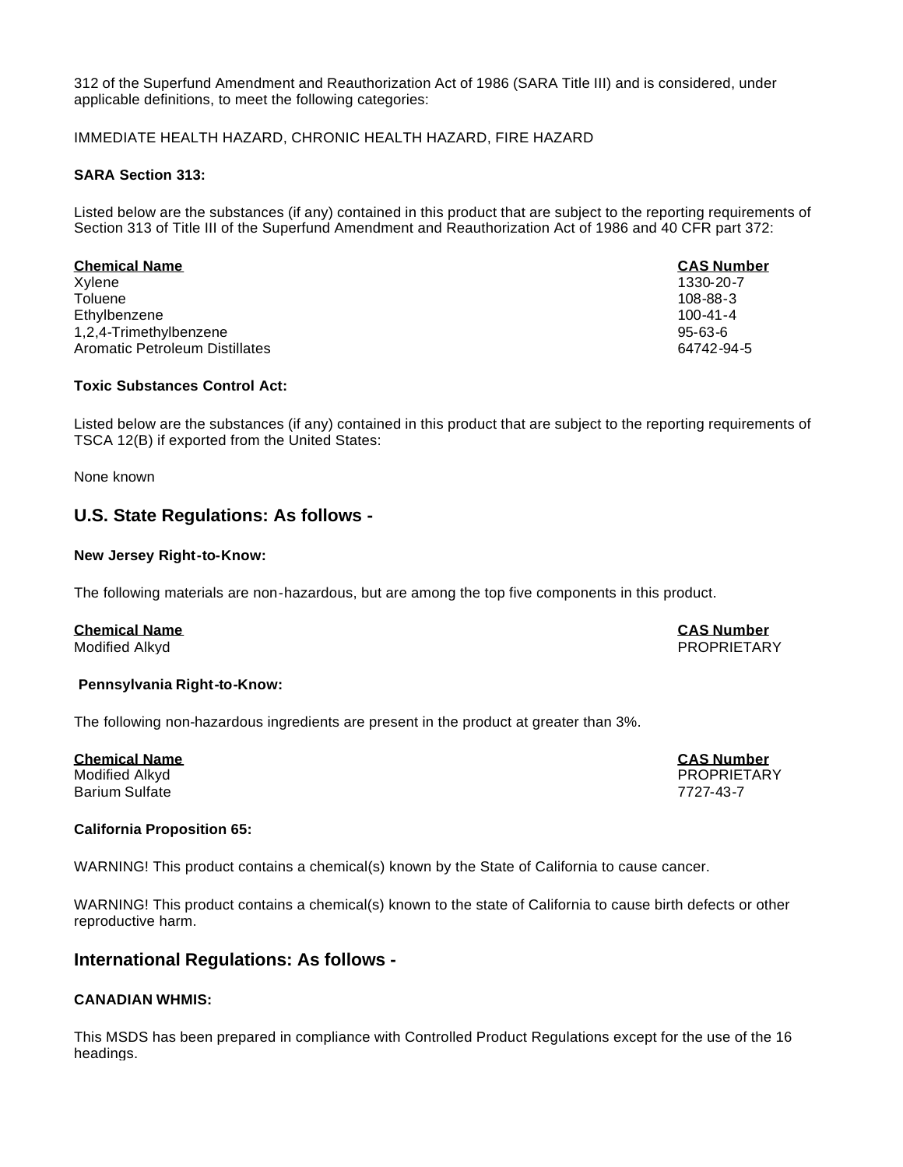312 of the Superfund Amendment and Reauthorization Act of 1986 (SARA Title III) and is considered, under applicable definitions, to meet the following categories:

#### IMMEDIATE HEALTH HAZARD, CHRONIC HEALTH HAZARD, FIRE HAZARD

#### **SARA Section 313:**

Listed below are the substances (if any) contained in this product that are subject to the reporting requirements of Section 313 of Title III of the Superfund Amendment and Reauthorization Act of 1986 and 40 CFR part 372:

#### **Chemical Name CAS Number** Xylene 1330-20-7 Toluene 108-88-3 Ethylbenzene 100-41-4 1,2,4-Trimethylbenzene 95-63-6 Aromatic Petroleum Distillates 64742-94-5

#### **Toxic Substances Control Act:**

Listed below are the substances (if any) contained in this product that are subject to the reporting requirements of TSCA 12(B) if exported from the United States:

None known

## **U.S. State Regulations: As follows -**

#### **New Jersey Right-to-Know:**

The following materials are non-hazardous, but are among the top five components in this product.

## **Chemical Name CAS Number**

Modified Alkyd PROPRIETARY

#### **Pennsylvania Right-to-Know:**

The following non-hazardous ingredients are present in the product at greater than 3%.

**Chemical Name CAS Number** Barium Sulfate 7727-43-7

PROPRIETARY

#### **California Proposition 65:**

WARNING! This product contains a chemical(s) known by the State of California to cause cancer.

WARNING! This product contains a chemical(s) known to the state of California to cause birth defects or other reproductive harm.

## **International Regulations: As follows -**

#### **CANADIAN WHMIS:**

This MSDS has been prepared in compliance with Controlled Product Regulations except for the use of the 16 headings.